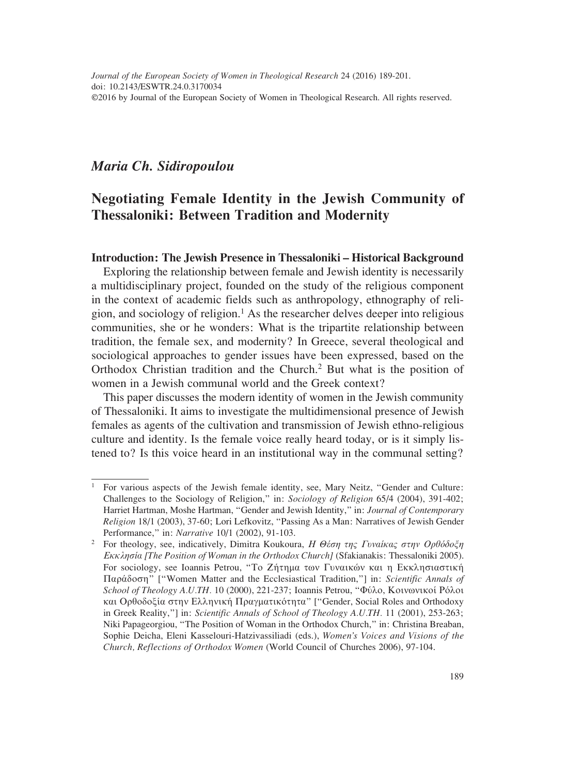## *Maria Ch. Sidiropoulou*

# **Negotiating Female Identity in the Jewish Community of Thessaloniki: Between Tradition and Modernity**

#### **Introduction: The Jewish Presence in Thessaloniki – Historical Background**

Exploring the relationship between female and Jewish identity is necessarily a multidisciplinary project, founded on the study of the religious component in the context of academic fields such as anthropology, ethnography of religion, and sociology of religion.<sup>1</sup> As the researcher delves deeper into religious communities, she or he wonders: What is the tripartite relationship between tradition, the female sex, and modernity? In Greece, several theological and sociological approaches to gender issues have been expressed, based on the Orthodox Christian tradition and the Church.<sup>2</sup> But what is the position of women in a Jewish communal world and the Greek context?

This paper discusses the modern identity of women in the Jewish community of Thessaloniki. It aims to investigate the multidimensional presence of Jewish females as agents of the cultivation and transmission of Jewish ethno-religious culture and identity. Is the female voice really heard today, or is it simply listened to? Is this voice heard in an institutional way in the communal setting?

<sup>1</sup> For various aspects of the Jewish female identity, see, Mary Neitz, "Gender and Culture: Challenges to the Sociology of Religion," in: *Sociology of Religion* 65/4 (2004), 391-402; Harriet Hartman, Moshe Hartman, "Gender and Jewish Identity," in: *Journal of Contemporary Religion* 18/1 (2003), 37-60; Lori Lefkovitz, "Passing As a Man: Narratives of Jewish Gender Performance," in: *Narrative* 10/1 (2002), 91-103.

<sup>2</sup> For theology, see, indicatively, Dimitra Koukoura, *Η Θέση της Γυναίκας στην Ορθόδοξη Εκκλησία [The Position of Woman in the Orthodox Church]* (Sfakianakis: Thessaloniki 2005). For sociology, see Ioannis Petrou, "Το Ζήτημα των Γυναικών και η Εκκλησιαστική Παράδοση" ["Women Matter and the Ecclesiastical Tradition,"] in: *Scientific Annals of School of Theology A.U.TH.* 10 (2000), 221-237; Ioannis Petrou, "Φύλο, Κοινωνικοί Ρόλοι και Ορθοδοξία στην Ελληνική Πραγματικότητα" ["Gender, Social Roles and Orthodoxy in Greek Reality,"] in: *Scientific Annals of School of Theology A.U.TH.* 11 (2001), 253-263; Niki Papageorgiou, "The Position of Woman in the Orthodox Church," in: Christina Breaban, Sophie Deicha, Eleni Kasselouri-Hatzivassiliadi (eds.), *Women's Voices and Visions of the Church, Reflections of Orthodox Women* (World Council of Churches 2006), 97-104.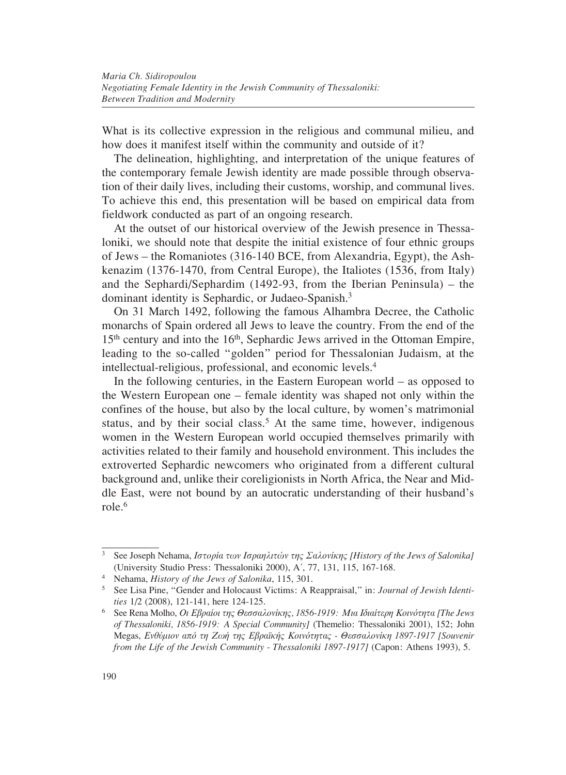What is its collective expression in the religious and communal milieu, and how does it manifest itself within the community and outside of it?

The delineation, highlighting, and interpretation of the unique features of the contemporary female Jewish identity are made possible through observation of their daily lives, including their customs, worship, and communal lives. To achieve this end, this presentation will be based on empirical data from fieldwork conducted as part of an ongoing research.

At the outset of our historical overview of the Jewish presence in Thessaloniki, we should note that despite the initial existence of four ethnic groups of Jews – the Romaniotes (316-140 BCE, from Alexandria, Egypt), the Ashkenazim (1376-1470, from Central Europe), the Italiotes (1536, from Italy) and the Sephardi/Sephardim (1492-93, from the Iberian Peninsula) – the dominant identity is Sephardic, or Judaeo-Spanish.3

On 31 March 1492, following the famous Alhambra Decree, the Catholic monarchs of Spain ordered all Jews to leave the country. From the end of the 15<sup>th</sup> century and into the 16<sup>th</sup>, Sephardic Jews arrived in the Ottoman Empire, leading to the so-called "golden" period for Thessalonian Judaism, at the intellectual-religious, professional, and economic levels.4

In the following centuries, in the Eastern European world – as opposed to the Western European one – female identity was shaped not only within the confines of the house, but also by the local culture, by women's matrimonial status, and by their social class.<sup>5</sup> At the same time, however, indigenous women in the Western European world occupied themselves primarily with activities related to their family and household environment. This includes the extroverted Sephardic newcomers who originated from a different cultural background and, unlike their coreligionists in North Africa, the Near and Middle East, were not bound by an autocratic understanding of their husband's role.6

<sup>3</sup> See Joseph Nehama, *Ιστορία των Ισραηλιτών της Σαλονίκης [History of the Jews of Salonika]* (University Studio Press: Thessaloniki 2000), A', 77, 131, 115, 167-168.<br><sup>4</sup> Nehama, *History of the Jews of Salonika*, 115, 301.

<sup>&</sup>lt;sup>5</sup> See Lisa Pine, "Gender and Holocaust Victims: A Reappraisal," in: *Journal of Jewish Identities* 1/2 (2008), 121-141, here 124-125.

<sup>6</sup> See Rena Molho, *Οι Εβραίοι της Θεσσαλονίκης, 1856-1919: Μια Ιδιαίτερη Κοινότητα [The Jews of Thessaloniki, 1856-1919: A Special Community]* (Themelio: Thessaloniki 2001), 152; John Megas, *Ενθύμιον από τη Ζωή της Εβραϊκής Κοινότητας - Θεσσαλονίκη 1897-1917 [Souvenir from the Life of the Jewish Community - Thessaloniki 1897-1917]* (Capon: Athens 1993), 5.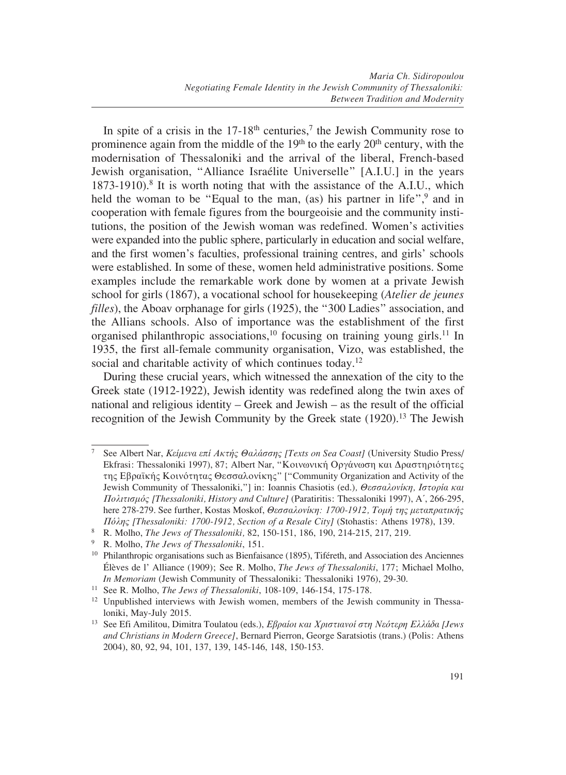In spite of a crisis in the  $17-18$ <sup>th</sup> centuries,<sup>7</sup> the Jewish Community rose to prominence again from the middle of the  $19<sup>th</sup>$  to the early  $20<sup>th</sup>$  century, with the modernisation of Thessaloniki and the arrival of the liberal, French-based Jewish organisation, "Alliance Israélite Universelle" [A.I.U.] in the years  $1873-1910$ .<sup>8</sup> It is worth noting that with the assistance of the A.I.U., which held the woman to be "Equal to the man, (as) his partner in life",<sup>9</sup> and in cooperation with female figures from the bourgeoisie and the community institutions, the position of the Jewish woman was redefined. Women's activities were expanded into the public sphere, particularly in education and social welfare, and the first women's faculties, professional training centres, and girls' schools were established. In some of these, women held administrative positions. Some examples include the remarkable work done by women at a private Jewish school for girls (1867), a vocational school for housekeeping (*Atelier de jeunes filles*), the Aboav orphanage for girls (1925), the "300 Ladies" association, and the Allians schools. Also of importance was the establishment of the first organised philanthropic associations,<sup>10</sup> focusing on training young girls.<sup>11</sup> In 1935, the first all-female community organisation, Vizo, was established, the social and charitable activity of which continues today.<sup>12</sup>

During these crucial years, which witnessed the annexation of the city to the Greek state (1912-1922), Jewish identity was redefined along the twin axes of national and religious identity – Greek and Jewish – as the result of the official recognition of the Jewish Community by the Greek state (1920).<sup>13</sup> The Jewish

<sup>7</sup> See Albert Nar, *Κείμενα επί Ακτής Θαλάσσης [Texts on Sea Coast]* (University Studio Press/ Ekfrasi: Thessaloniki 1997), 87; Albert Nar, "Κοινωνική Οργάνωση και Δραστηριότητες της Εβραϊκής Κοινότητας Θεσσαλονίκης" ["Community Organization and Activity of the Jewish Community of Thessaloniki,"] in: Ioannis Chasiotis (ed.)*, Θεσσαλονίκη, Ιστορία και Πολιτισμός [Thessaloniki, History and Culture]* (Paratiritis: Thessaloniki 1997), A΄, 266-295, here 278-279. See further, Kostas Moskof, *Θεσσαλονίκη: 1700-1912, Τομή της μεταπρατικής Πόλης [Thessaloniki: 1700-1912, Section of a Resale City]* (Stohastis: Athens 1978), 139.

<sup>8</sup> R. Molho, *The Jews of Thessaloniki,* 82, 150-151, 186, 190, 214-215, 217, 219.

<sup>9</sup> R. Molho, *The Jews of Thessaloniki*, 151.

<sup>&</sup>lt;sup>10</sup> Philanthropic organisations such as Bienfaisance (1895), Tiféreth, and Association des Anciennes Élèves de l' Alliance (1909); See R. Molho, *The Jews of Thessaloniki*, 177; Michael Molho, *In Memoriam* (Jewish Community of Thessaloniki: Thessaloniki 1976), 29-30.

<sup>11</sup> See R. Molho, *The Jews of Thessaloniki*, 108-109, 146-154, 175-178.

<sup>&</sup>lt;sup>12</sup> Unpublished interviews with Jewish women, members of the Jewish community in Thessaloniki, May-July 2015.

<sup>13</sup> See Efi Amilitou, Dimitra Toulatou (eds.), *Εβραίοι και Χριστιανοί στη Νεότερη Ελλάδα [Jews and Christians in Modern Greece]*, Bernard Pierron, George Saratsiotis (trans.) (Polis: Athens 2004), 80, 92, 94, 101, 137, 139, 145-146, 148, 150-153.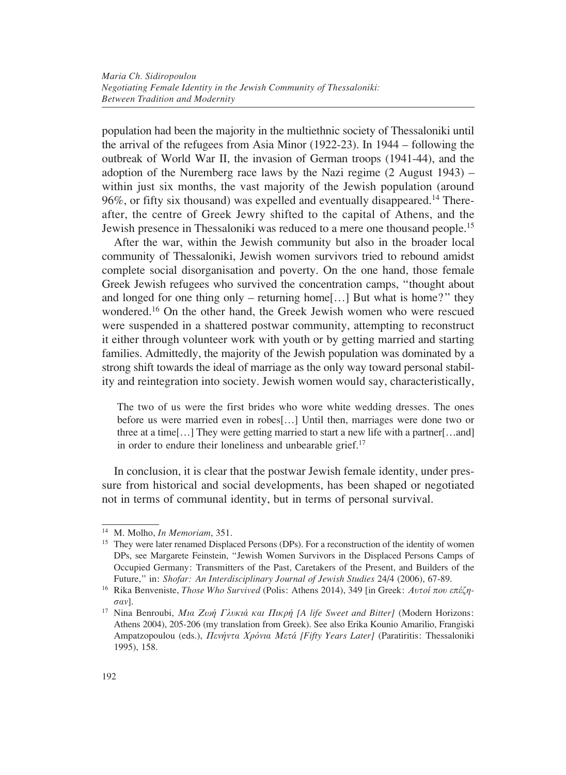population had been the majority in the multiethnic society of Thessaloniki until the arrival of the refugees from Asia Minor (1922-23). In 1944 – following the outbreak of World War II, the invasion of German troops (1941-44), and the adoption of the Nuremberg race laws by the Nazi regime  $(2 \text{ August } 1943)$  – within just six months, the vast majority of the Jewish population (around  $96\%$ , or fifty six thousand) was expelled and eventually disappeared.<sup>14</sup> Thereafter, the centre of Greek Jewry shifted to the capital of Athens, and the Jewish presence in Thessaloniki was reduced to a mere one thousand people.15

After the war, within the Jewish community but also in the broader local community of Thessaloniki, Jewish women survivors tried to rebound amidst complete social disorganisation and poverty. On the one hand, those female Greek Jewish refugees who survived the concentration camps, "thought about and longed for one thing only – returning home[...] But what is home?" they wondered.16 On the other hand, the Greek Jewish women who were rescued were suspended in a shattered postwar community, attempting to reconstruct it either through volunteer work with youth or by getting married and starting families. Admittedly, the majority of the Jewish population was dominated by a strong shift towards the ideal of marriage as the only way toward personal stability and reintegration into society. Jewish women would say, characteristically,

The two of us were the first brides who wore white wedding dresses. The ones before us were married even in robes[…] Until then, marriages were done two or three at a time[…] They were getting married to start a new life with a partner[…and] in order to endure their loneliness and unbearable grief.<sup>17</sup>

In conclusion, it is clear that the postwar Jewish female identity, under pressure from historical and social developments, has been shaped or negotiated not in terms of communal identity, but in terms of personal survival.

<sup>14</sup> M. Molho, *In Memoriam*, 351.

<sup>&</sup>lt;sup>15</sup> They were later renamed Displaced Persons (DPs). For a reconstruction of the identity of women DPs, see Margarete Feinstein, "Jewish Women Survivors in the Displaced Persons Camps of Occupied Germany: Transmitters of the Past, Caretakers of the Present, and Builders of the Future," in: *Shofar: An Interdisciplinary Journal of Jewish Studies* 24/4 (2006), 67-89.

<sup>16</sup> Rika Benveniste, *Those Who Survived* (Polis: Athens 2014), 349 [in Greek: *Αυτοί που επέζησαν*]. 17 Nina Benroubi, *Μια Ζωή Γλυκιά και Πικρή [A life Sweet and Bitter]* (Modern Horizons:

Athens 2004), 205-206 (my translation from Greek). See also Erika Kounio Amarilio, Frangiski Ampatzopoulou (eds.), *Πενήντα Χρόνια Μετά [Fifty Years Later]* (Paratiritis: Thessaloniki 1995), 158.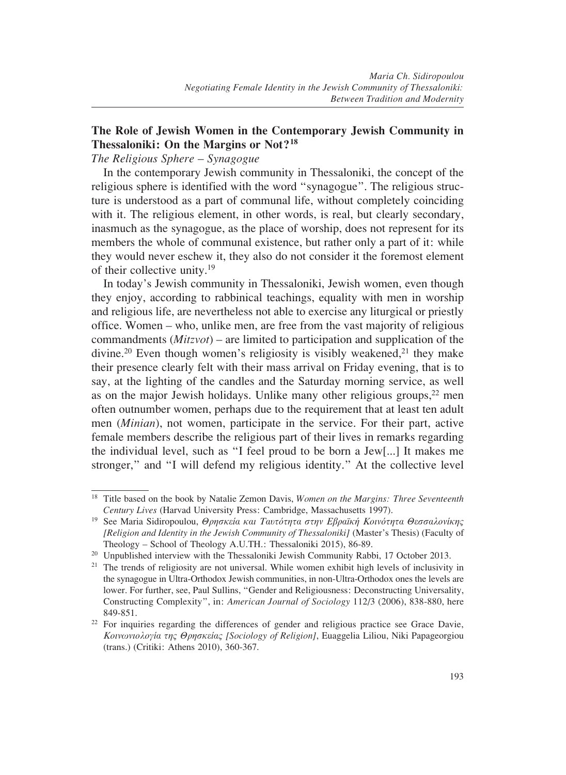## **The Role of Jewish Women in the Contemporary Jewish Community in Thessaloniki: On the Margins or Not?18**

#### *The Religious Sphere – Synagogue*

In the contemporary Jewish community in Thessaloniki, the concept of the religious sphere is identified with the word "synagogue". The religious structure is understood as a part of communal life, without completely coinciding with it. The religious element, in other words, is real, but clearly secondary, inasmuch as the synagogue, as the place of worship, does not represent for its members the whole of communal existence, but rather only a part of it: while they would never eschew it, they also do not consider it the foremost element of their collective unity.19

In today's Jewish community in Thessaloniki, Jewish women, even though they enjoy, according to rabbinical teachings, equality with men in worship and religious life, are nevertheless not able to exercise any liturgical or priestly office. Women – who, unlike men, are free from the vast majority of religious commandments (*Mitzvot*) – are limited to participation and supplication of the divine.<sup>20</sup> Even though women's religiosity is visibly weakened,<sup>21</sup> they make their presence clearly felt with their mass arrival on Friday evening, that is to say, at the lighting of the candles and the Saturday morning service, as well as on the major Jewish holidays. Unlike many other religious groups,  $22$  men often outnumber women, perhaps due to the requirement that at least ten adult men (*Minian*), not women, participate in the service. For their part, active female members describe the religious part of their lives in remarks regarding the individual level, such as "I feel proud to be born a Jew[...] It makes me stronger," and "I will defend my religious identity." At the collective level

<sup>18</sup> Title based on the book by Natalie Zemon Davis, *Women on the Margins: Three Seventeenth Century Lives* (Harvad University Press: Cambridge, Massachusetts 1997).

<sup>19</sup> See Maria Sidiropoulou, *Θρησκεία και Ταυτότητα στην Εβραϊκή Κοινότητα Θεσσαλονίκης [Religion and Identity in the Jewish Community of Thessaloniki]* (Master's Thesis) (Faculty of Theology – School of Theology A.U.TH.: Thessaloniki 2015), 86-89.

<sup>&</sup>lt;sup>20</sup> Unpublished interview with the Thessaloniki Jewish Community Rabbi, 17 October 2013.

 $2<sup>1</sup>$  The trends of religiosity are not universal. While women exhibit high levels of inclusivity in the synagogue in Ultra-Orthodox Jewish communities, in non-Ultra-Orthodox ones the levels are lower. For further, see, Paul Sullins, "Gender and Religiousness: Deconstructing Universality, Constructing Complexity", in: *American Journal of Sociology* 112/3 (2006), 838-880, here 849-851.

 $22$  For inquiries regarding the differences of gender and religious practice see Grace Davie, *Κοινωνιολογία της Θρησκείας [Sociology of Religion]*, Euaggelia Liliou, Niki Papageorgiou (trans.) (Critiki: Athens 2010), 360-367.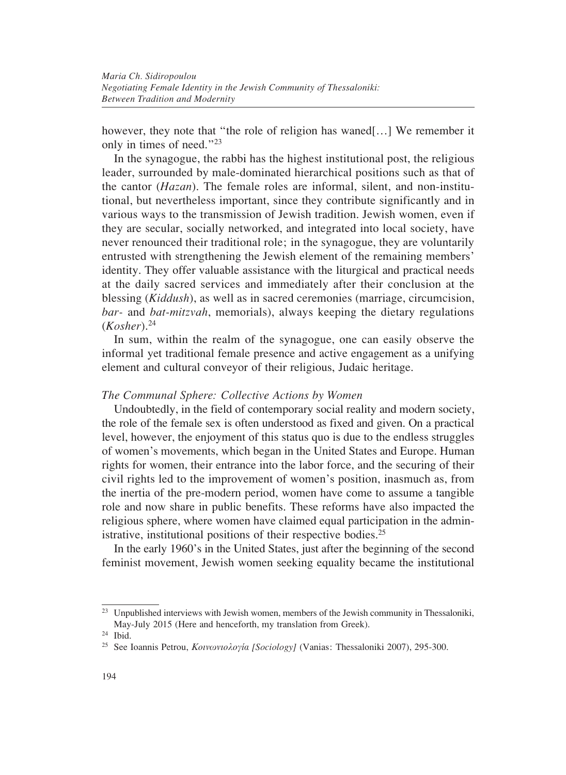however, they note that "the role of religion has waned[...] We remember it only in times of need."23

In the synagogue, the rabbi has the highest institutional post, the religious leader, surrounded by male-dominated hierarchical positions such as that of the cantor (*Hazan*). The female roles are informal, silent, and non-institutional, but nevertheless important, since they contribute significantly and in various ways to the transmission of Jewish tradition. Jewish women, even if they are secular, socially networked, and integrated into local society, have never renounced their traditional role; in the synagogue, they are voluntarily entrusted with strengthening the Jewish element of the remaining members' identity. They offer valuable assistance with the liturgical and practical needs at the daily sacred services and immediately after their conclusion at the blessing (*Kiddush*), as well as in sacred ceremonies (marriage, circumcision, *bar-* and *bat-mitzvah*, memorials), always keeping the dietary regulations (*Kosher*).24

In sum, within the realm of the synagogue, one can easily observe the informal yet traditional female presence and active engagement as a unifying element and cultural conveyor of their religious, Judaic heritage.

#### *The Communal Sphere: Collective Actions by Women*

Undoubtedly, in the field of contemporary social reality and modern society, the role of the female sex is often understood as fixed and given. On a practical level, however, the enjoyment of this status quo is due to the endless struggles of women's movements, which began in the United States and Europe. Human rights for women, their entrance into the labor force, and the securing of their civil rights led to the improvement of women's position, inasmuch as, from the inertia of the pre-modern period, women have come to assume a tangible role and now share in public benefits. These reforms have also impacted the religious sphere, where women have claimed equal participation in the administrative, institutional positions of their respective bodies.<sup>25</sup>

In the early 1960's in the United States, just after the beginning of the second feminist movement, Jewish women seeking equality became the institutional

<sup>&</sup>lt;sup>23</sup> Unpublished interviews with Jewish women, members of the Jewish community in Thessaloniki, May-July 2015 (Here and henceforth, my translation from Greek).

 $24$  Ibid.

<sup>25</sup> See Ioannis Petrou, *Κοινωνιολογία [Sociology]* (Vanias: Thessaloniki 2007), 295-300.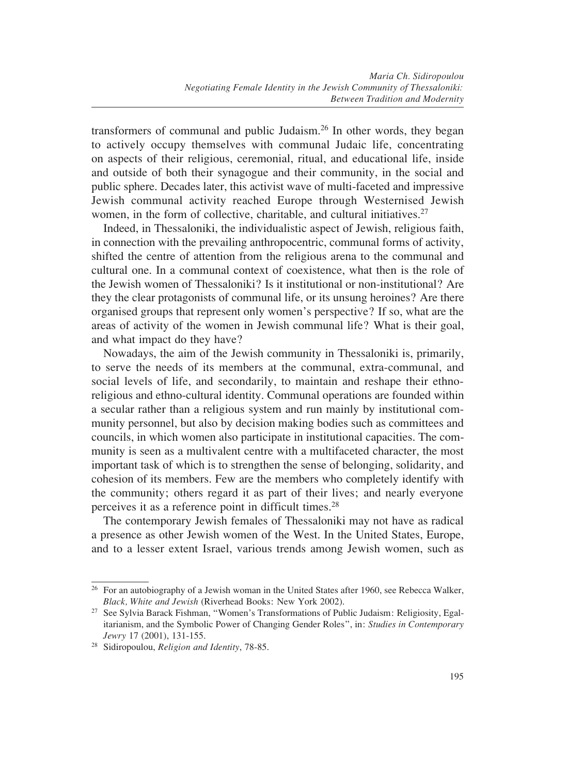transformers of communal and public Judaism.26 In other words, they began to actively occupy themselves with communal Judaic life, concentrating on aspects of their religious, ceremonial, ritual, and educational life, inside and outside of both their synagogue and their community, in the social and public sphere. Decades later, this activist wave of multi-faceted and impressive Jewish communal activity reached Europe through Westernised Jewish women, in the form of collective, charitable, and cultural initiatives. $27$ 

Indeed, in Thessaloniki, the individualistic aspect of Jewish, religious faith, in connection with the prevailing anthropocentric, communal forms of activity, shifted the centre of attention from the religious arena to the communal and cultural one. In a communal context of coexistence, what then is the role of the Jewish women of Thessaloniki? Is it institutional or non-institutional? Are they the clear protagonists of communal life, or its unsung heroines? Are there organised groups that represent only women's perspective? If so, what are the areas of activity of the women in Jewish communal life? What is their goal, and what impact do they have?

Nowadays, the aim of the Jewish community in Thessaloniki is, primarily, to serve the needs of its members at the communal, extra-communal, and social levels of life, and secondarily, to maintain and reshape their ethnoreligious and ethno-cultural identity. Communal operations are founded within a secular rather than a religious system and run mainly by institutional community personnel, but also by decision making bodies such as committees and councils, in which women also participate in institutional capacities. The community is seen as a multivalent centre with a multifaceted character, the most important task of which is to strengthen the sense of belonging, solidarity, and cohesion of its members. Few are the members who completely identify with the community; others regard it as part of their lives; and nearly everyone perceives it as a reference point in difficult times.28

The contemporary Jewish females of Thessaloniki may not have as radical a presence as other Jewish women of the West. In the United States, Europe, and to a lesser extent Israel, various trends among Jewish women, such as

<sup>&</sup>lt;sup>26</sup> For an autobiography of a Jewish woman in the United States after 1960, see Rebecca Walker, *Black, White and Jewish* (Riverhead Books: New York 2002).

<sup>&</sup>lt;sup>27</sup> See Sylvia Barack Fishman, "Women's Transformations of Public Judaism: Religiosity, Egalitarianism, and the Symbolic Power of Changing Gender Roles", in: *Studies in Contemporary Jewry* 17 (2001), 131-155.

<sup>28</sup> Sidiropoulou, *Religion and Identity*, 78-85.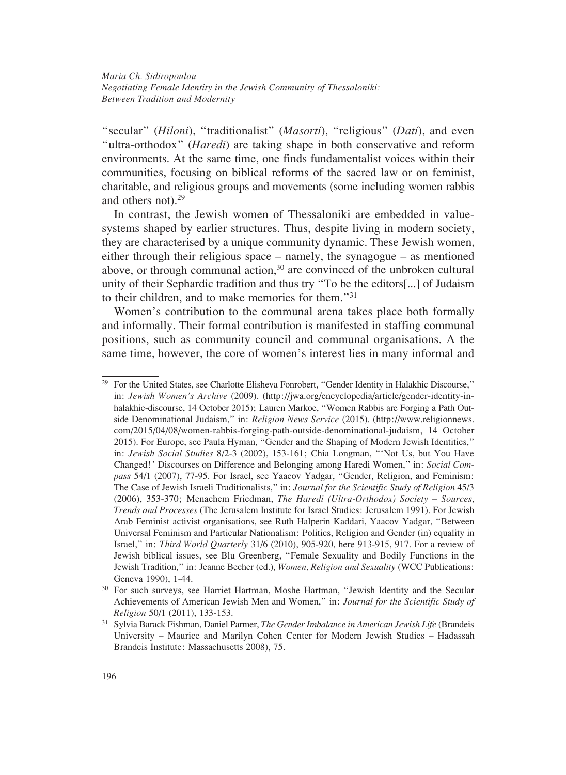"secular" (*Hiloni*), "traditionalist" (*Masorti*), "religious" (*Dati*), and even "ultra-orthodox" (*Haredi*) are taking shape in both conservative and reform environments. At the same time, one finds fundamentalist voices within their communities, focusing on biblical reforms of the sacred law or on feminist, charitable, and religious groups and movements (some including women rabbis and others not).29

In contrast, the Jewish women of Thessaloniki are embedded in valuesystems shaped by earlier structures. Thus, despite living in modern society, they are characterised by a unique community dynamic. These Jewish women, either through their religious space – namely, the synagogue – as mentioned above, or through communal action, $30$  are convinced of the unbroken cultural unity of their Sephardic tradition and thus try "To be the editors[...] of Judaism to their children, and to make memories for them."31

Women's contribution to the communal arena takes place both formally and informally. Their formal contribution is manifested in staffing communal positions, such as community council and communal organisations. A the same time, however, the core of women's interest lies in many informal and

<sup>&</sup>lt;sup>29</sup> For the United States, see Charlotte Elisheva Fonrobert, "Gender Identity in Halakhic Discourse," in: *Jewish Women's Archive* (2009). (http://jwa.org/encyclopedia/article/gender-identity-inhalakhic-discourse, 14 October 2015); Lauren Markoe, "Women Rabbis are Forging a Path Outside Denominational Judaism," in: *Religion News Service* (2015). (http://www.religionnews. com/2015/04/08/women-rabbis-forging-path-outside-denominational-judaism, 14 October 2015). For Europe, see Paula Hyman, "Gender and the Shaping of Modern Jewish Identities," in: *Jewish Social Studies* 8/2-3 (2002), 153-161; Chia Longman, "'Not Us, but You Have Changed!' Discourses on Difference and Belonging among Haredi Women," in: *Social Compass* 54/1 (2007), 77-95. For Israel, see Yaacov Yadgar, "Gender, Religion, and Feminism: The Case of Jewish Israeli Traditionalists," in: *Journal for the Scientific Study of Religion* 45/3 (2006), 353-370; Menachem Friedman, *The Haredi (Ultra-Orthodox) Society – Sources, Trends and Processes* (The Jerusalem Institute for Israel Studies: Jerusalem 1991). For Jewish Arab Feminist activist organisations, see Ruth Halperin Kaddari, Yaacov Yadgar, "Between Universal Feminism and Particular Nationalism: Politics, Religion and Gender (in) equality in Israel," in: *Third World Quarterly* 31/6 (2010), 905-920, here 913-915, 917. For a review of Jewish biblical issues, see Blu Greenberg, "Female Sexuality and Bodily Functions in the Jewish Tradition," in: Jeanne Becher (ed.), *Women, Religion and Sexuality* (WCC Publications: Geneva 1990), 1-44.

<sup>&</sup>lt;sup>30</sup> For such surveys, see Harriet Hartman, Moshe Hartman, "Jewish Identity and the Secular Achievements of American Jewish Men and Women," in: *Journal for the Scientific Study of Religion* 50/1 (2011), 133-153.

<sup>31</sup> Sylvia Barack Fishman, Daniel Parmer, *The Gender Imbalance in American Jewish Life* (Brandeis University – Maurice and Marilyn Cohen Center for Modern Jewish Studies – Hadassah Brandeis Institute: Massachusetts 2008), 75.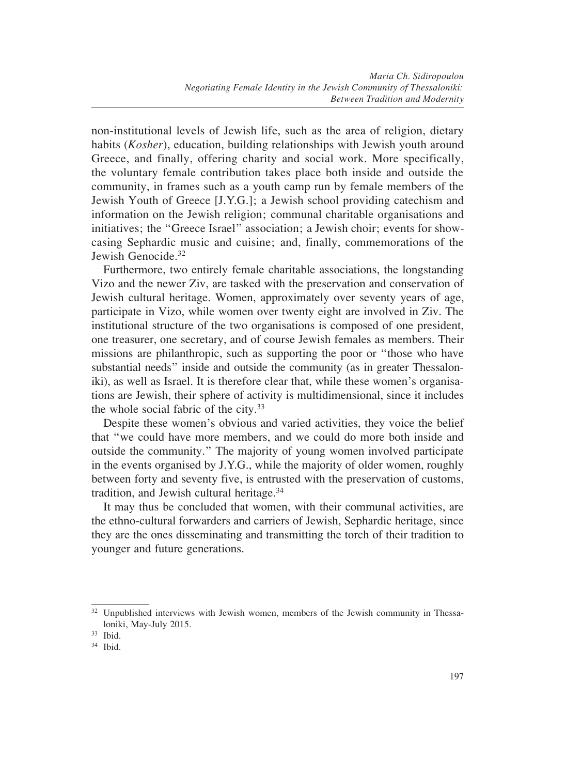non-institutional levels of Jewish life, such as the area of religion, dietary habits (*Kosher*), education, building relationships with Jewish youth around Greece, and finally, offering charity and social work. More specifically, the voluntary female contribution takes place both inside and outside the community, in frames such as a youth camp run by female members of the Jewish Youth of Greece [J.Y.G.]; a Jewish school providing catechism and information on the Jewish religion; communal charitable organisations and initiatives; the "Greece Israel" association; a Jewish choir; events for showcasing Sephardic music and cuisine; and, finally, commemorations of the Jewish Genocide.<sup>32</sup>

Furthermore, two entirely female charitable associations, the longstanding Vizo and the newer Ziv, are tasked with the preservation and conservation of Jewish cultural heritage. Women, approximately over seventy years of age, participate in Vizo, while women over twenty eight are involved in Ziv. The institutional structure of the two organisations is composed of one president, one treasurer, one secretary, and of course Jewish females as members. Their missions are philanthropic, such as supporting the poor or "those who have substantial needs" inside and outside the community (as in greater Thessaloniki), as well as Israel. It is therefore clear that, while these women's organisations are Jewish, their sphere of activity is multidimensional, since it includes the whole social fabric of the city.33

Despite these women's obvious and varied activities, they voice the belief that "we could have more members, and we could do more both inside and outside the community." The majority of young women involved participate in the events organised by J.Y.G., while the majority of older women, roughly between forty and seventy five, is entrusted with the preservation of customs, tradition, and Jewish cultural heritage.34

It may thus be concluded that women, with their communal activities, are the ethno-cultural forwarders and carriers of Jewish, Sephardic heritage, since they are the ones disseminating and transmitting the torch of their tradition to younger and future generations.

<sup>&</sup>lt;sup>32</sup> Unpublished interviews with Jewish women, members of the Jewish community in Thessaloniki, May-July 2015.

<sup>33</sup> Ibid.

<sup>34</sup> Ibid.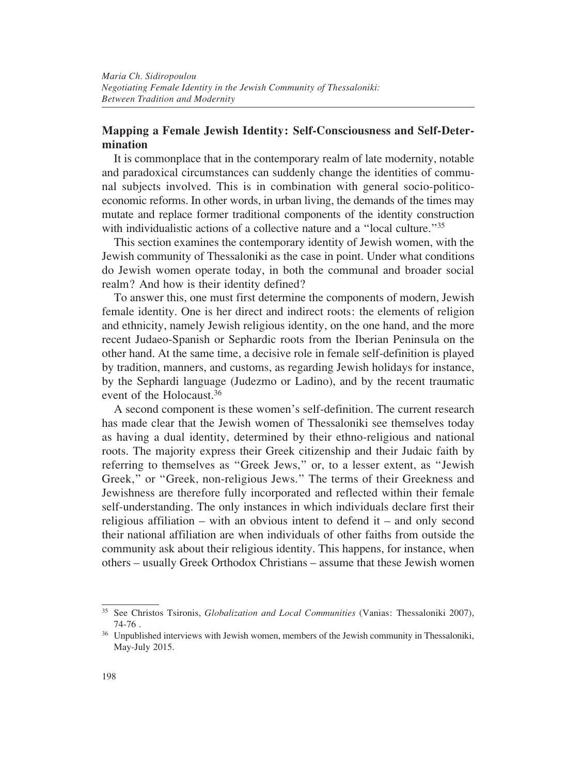## **Mapping a Female Jewish Identity: Self-Consciousness and Self-Determination**

It is commonplace that in the contemporary realm of late modernity, notable and paradoxical circumstances can suddenly change the identities of communal subjects involved. This is in combination with general socio-politicoeconomic reforms. In other words, in urban living, the demands of the times may mutate and replace former traditional components of the identity construction with individualistic actions of a collective nature and a "local culture."<sup>35</sup>

This section examines the contemporary identity of Jewish women, with the Jewish community of Thessaloniki as the case in point. Under what conditions do Jewish women operate today, in both the communal and broader social realm? And how is their identity defined?

To answer this, one must first determine the components of modern, Jewish female identity. One is her direct and indirect roots: the elements of religion and ethnicity, namely Jewish religious identity, on the one hand, and the more recent Judaeo-Spanish or Sephardic roots from the Iberian Peninsula on the other hand. At the same time, a decisive role in female self-definition is played by tradition, manners, and customs, as regarding Jewish holidays for instance, by the Sephardi language (Judezmo or Ladino), and by the recent traumatic event of the Holocaust 36

A second component is these women's self-definition. The current research has made clear that the Jewish women of Thessaloniki see themselves today as having a dual identity, determined by their ethno-religious and national roots. The majority express their Greek citizenship and their Judaic faith by referring to themselves as "Greek Jews," or, to a lesser extent, as "Jewish Greek," or "Greek, non-religious Jews." The terms of their Greekness and Jewishness are therefore fully incorporated and reflected within their female self-understanding. The only instances in which individuals declare first their religious affiliation – with an obvious intent to defend it – and only second their national affiliation are when individuals of other faiths from outside the community ask about their religious identity. This happens, for instance, when others – usually Greek Orthodox Christians – assume that these Jewish women

<sup>35</sup> See Christos Tsironis, *Globalization and Local Communities* (Vanias: Thessaloniki 2007), 74-76 .

<sup>&</sup>lt;sup>36</sup> Unpublished interviews with Jewish women, members of the Jewish community in Thessaloniki, May-July 2015.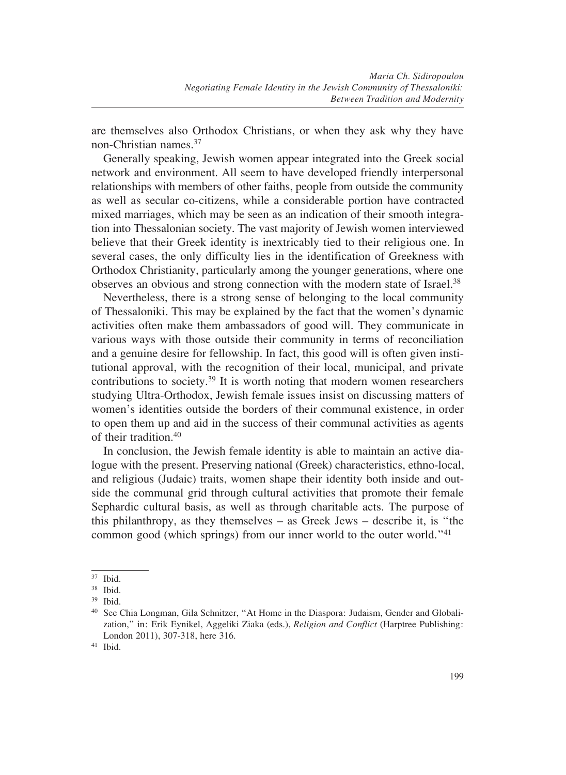are themselves also Orthodox Christians, or when they ask why they have non-Christian names.37

Generally speaking, Jewish women appear integrated into the Greek social network and environment. All seem to have developed friendly interpersonal relationships with members of other faiths, people from outside the community as well as secular co-citizens, while a considerable portion have contracted mixed marriages, which may be seen as an indication of their smooth integration into Thessalonian society. The vast majority of Jewish women interviewed believe that their Greek identity is inextricably tied to their religious one. In several cases, the only difficulty lies in the identification of Greekness with Orthodox Christianity, particularly among the younger generations, where one observes an obvious and strong connection with the modern state of Israel.<sup>38</sup>

Nevertheless, there is a strong sense of belonging to the local community of Thessaloniki. This may be explained by the fact that the women's dynamic activities often make them ambassadors of good will. They communicate in various ways with those outside their community in terms of reconciliation and a genuine desire for fellowship. In fact, this good will is often given institutional approval, with the recognition of their local, municipal, and private contributions to society.39 It is worth noting that modern women researchers studying Ultra-Orthodox, Jewish female issues insist on discussing matters of women's identities outside the borders of their communal existence, in order to open them up and aid in the success of their communal activities as agents of their tradition.40

In conclusion, the Jewish female identity is able to maintain an active dialogue with the present. Preserving national (Greek) characteristics, ethno-local, and religious (Judaic) traits, women shape their identity both inside and outside the communal grid through cultural activities that promote their female Sephardic cultural basis, as well as through charitable acts. The purpose of this philanthropy, as they themselves – as Greek Jews – describe it, is "the common good (which springs) from our inner world to the outer world."41

<sup>37</sup> Ibid.

<sup>38</sup> Ibid.

<sup>39</sup> Ibid.

<sup>40</sup> See Chia Longman, Gila Schnitzer, "At Home in the Diaspora: Judaism, Gender and Globalization," in: Erik Eynikel, Aggeliki Ziaka (eds.), *Religion and Conflict* (Harptree Publishing: London 2011), 307-318, here 316.

<sup>41</sup> Ibid.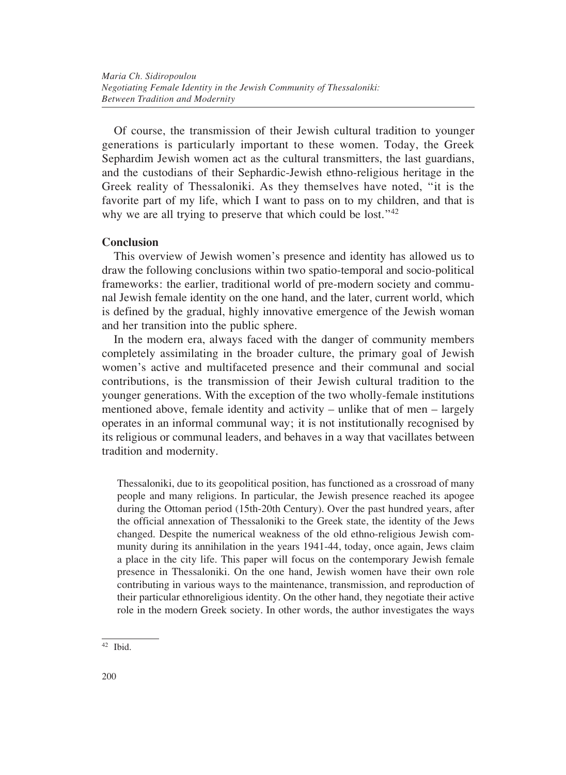Of course, the transmission of their Jewish cultural tradition to younger generations is particularly important to these women. Today, the Greek Sephardim Jewish women act as the cultural transmitters, the last guardians, and the custodians of their Sephardic-Jewish ethno-religious heritage in the Greek reality of Thessaloniki. As they themselves have noted, "it is the favorite part of my life, which I want to pass on to my children, and that is why we are all trying to preserve that which could be lost."<sup>42</sup>

### **Conclusion**

This overview of Jewish women's presence and identity has allowed us to draw the following conclusions within two spatio-temporal and socio-political frameworks: the earlier, traditional world of pre-modern society and communal Jewish female identity on the one hand, and the later, current world, which is defined by the gradual, highly innovative emergence of the Jewish woman and her transition into the public sphere.

In the modern era, always faced with the danger of community members completely assimilating in the broader culture, the primary goal of Jewish women's active and multifaceted presence and their communal and social contributions, is the transmission of their Jewish cultural tradition to the younger generations. With the exception of the two wholly-female institutions mentioned above, female identity and activity – unlike that of men – largely operates in an informal communal way; it is not institutionally recognised by its religious or communal leaders, and behaves in a way that vacillates between tradition and modernity.

Thessaloniki, due to its geopolitical position, has functioned as a crossroad of many people and many religions. In particular, the Jewish presence reached its apogee during the Ottoman period (15th-20th Century). Over the past hundred years, after the official annexation of Thessaloniki to the Greek state, the identity of the Jews changed. Despite the numerical weakness of the old ethno-religious Jewish community during its annihilation in the years 1941-44, today, once again, Jews claim a place in the city life. This paper will focus on the contemporary Jewish female presence in Thessaloniki. On the one hand, Jewish women have their own role contributing in various ways to the maintenance, transmission, and reproduction of their particular ethnoreligious identity. On the other hand, they negotiate their active role in the modern Greek society. In other words, the author investigates the ways

 $42$  Ibid.